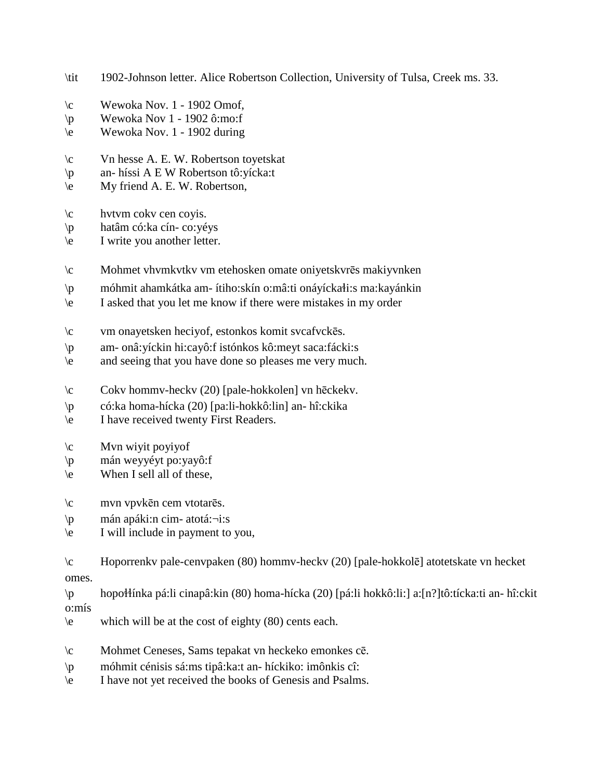- \tit 1902-Johnson letter. Alice Robertson Collection, University of Tulsa, Creek ms. 33.
- $\c$  Wewoka Nov. 1 1902 Omof,
- $\pmb{\text{v}}$  Wewoka Nov 1 1902 ô:mo:f
- \e Wewoka Nov. 1 1902 during
- \c Vn hesse A. E. W. Robertson toyetskat
- \p an- híssi A E W Robertson tô:yícka:t
- \e My friend A. E. W. Robertson,
- \c hvtvm cokv cen coyis.
- \p hatâm có:ka cín- co:yéys
- \e I write you another letter.
- \c Mohmet vhvmkvtkv vm etehosken omate oniyetskvrēs makiyvnken
- $\phi$  móhmit ahamkátka am- ítiho:skín o:mâ:ti onáyícka $\phi$ :s ma:kayánkin
- \e I asked that you let me know if there were mistakes in my order
- \c vm onayetsken heciyof, estonkos komit svcafvckēs.
- \p am- onâ:yíckin hi:cayô:f istónkos kô:meyt saca:fácki:s
- \e and seeing that you have done so pleases me very much.
- \c Cokv hommv-heckv (20) [pale-hokkolen] vn hēckekv.
- \p có:ka homa-hícka (20) [pa:li-hokkô:lin] an- hî:ckika
- \e I have received twenty First Readers.
- $\c$  Mvn wiyit poyiyof
- \p mán weyyéyt po:yayô:f
- $\leq$  When I sell all of these,
- \c mvn vpvkēn cem vtotarēs.
- \p mán apáki:n cim- atotá:¬i:s
- \e I will include in payment to you,
- \c Hoporrenkv pale-cenvpaken (80) hommv-heckv (20) [pale-hokkolē] atotetskate vn hecket omes.

\p hopo!!ínka pá:li cinapâ:kin (80) homa-hícka (20) [pá:li hokkô:li:] a:[n?]tô:tícka:ti an- hî:ckit o:mís

- \e which will be at the cost of eighty (80) cents each.
- \c Mohmet Ceneses, Sams tepakat vn heckeko emonkes cē.
- \p móhmit cénisis sá:ms tipâ:ka:t an- híckiko: imônkis cî:
- \e I have not yet received the books of Genesis and Psalms.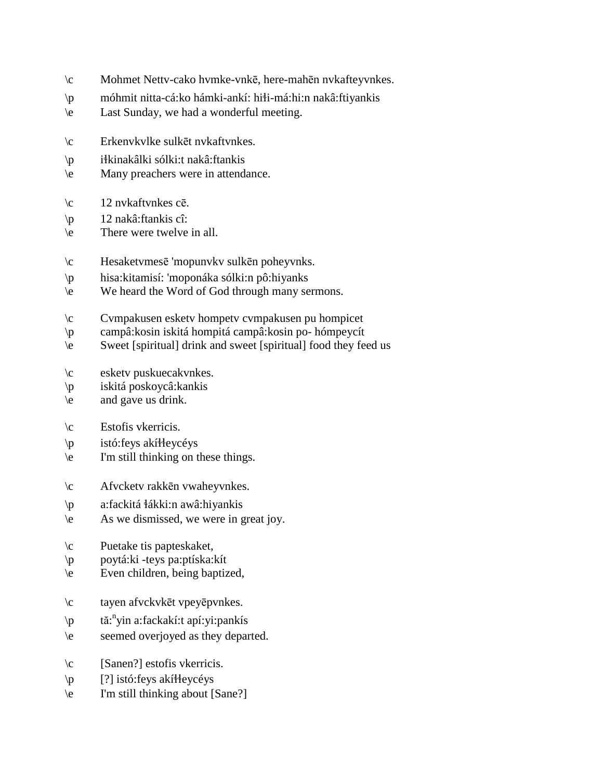- \c Mohmet Nettv-cako hvmke-vnkē, here-mahēn nvkafteyvnkes.
- $\pi$  móhmit nitta-cá:ko hámki-ankí: hi $\pi$ i-má:hi:n nakâ:ftiyankis
- \e Last Sunday, we had a wonderful meeting.
- \c Erkenvkvlke sulkēt nvkaftvnkes.
- \p i!kinakâlki sólki:t nakâ:ftankis
- \e Many preachers were in attendance.
- \c 12 nvkaftvnkes cē.
- \p 12 nakâ:ftankis cî:
- \e There were twelve in all.
- \c Hesaketvmesē 'mopunvkv sulkēn poheyvnks.
- \p hisa:kitamisí: 'moponáka sólki:n pô:hiyanks
- \e We heard the Word of God through many sermons.
- \c Cvmpakusen esketv hompetv cvmpakusen pu hompicet
- \p campâ:kosin iskitá hompitá campâ:kosin po- hómpeycít
- \e Sweet [spiritual] drink and sweet [spiritual] food they feed us
- \c esketv puskuecakvnkes.
- \p iskitá poskoycâ:kankis
- \e and gave us drink.
- \c Estofis vkerricis.
- $\pi$  istó: feys akí Heycéys
- \e I'm still thinking on these things.
- \c Afvcketv rakkēn vwaheyvnkes.
- \p a:fackitá !ákki:n awâ:hiyankis
- \e As we dismissed, we were in great joy.
- \c Puetake tis papteskaket,
- \p poytá:ki -teys pa:ptíska:kít
- \e Even children, being baptized,
- \c tayen afvckvkēt vpeyēpvnkes.
- \p tă:<sup>n</sup>yin a:fackakí:t apí:yi:pankís
- \e seemed overjoyed as they departed.
- \c [Sanen?] estofis vkerricis.
- $\pmb{\rho}$  [?] istó: feys akí Heycéys
- \e I'm still thinking about [Sane?]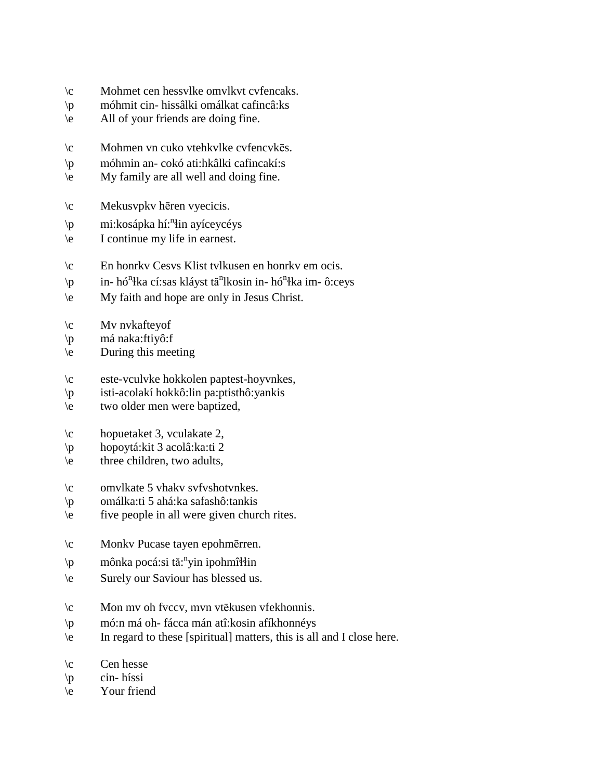- \c Mohmet cen hessvlke omvlkvt cvfencaks.
- \p móhmit cin- hissâlki omálkat cafincâ:ks
- \e All of your friends are doing fine.
- \c Mohmen vn cuko vtehkvlke cvfencvkēs.
- \p móhmin an- cokó ati:hkâlki cafincakí:s
- \e My family are all well and doing fine.
- \c Mekusvpkv hēren vyecicis.
- \p mi:kosápka hí:<sup>n</sup> !in ayíceycéys
- \e I continue my life in earnest.
- \c En honrkv Cesvs Klist tvlkusen en honrkv em ocis.
- \p in- hó<sup>n</sup>łka cí:sas kláyst tă<sup>n</sup>lkosin in- hó<sup>n</sup>łka im- ô:ceys
- \e My faith and hope are only in Jesus Christ.
- $\c$  Mv nvkafteyof
- \p má naka:ftiyô:f
- \e During this meeting
- \c este-vculvke hokkolen paptest-hoyvnkes,
- \p isti-acolakí hokkô:lin pa:ptisthô:yankis
- \e two older men were baptized,
- \c hopuetaket 3, vculakate 2,
- \p hopoytá:kit 3 acolâ:ka:ti 2
- $\text{the}$  three children, two adults,
- \c omvlkate 5 vhakv svfvshotvnkes.
- \p omálka:ti 5 ahá:ka safashô:tankis
- \e five people in all were given church rites.
- \c Monkv Pucase tayen epohmērren.
- \p mônka pocá:si tă:<sup>n</sup>yin ipohmî\in
- \e Surely our Saviour has blessed us.
- \c Mon mv oh fvccv, mvn vtēkusen vfekhonnis.
- \p mó:n má oh- fácca mán atî:kosin afíkhonnéys
- \e In regard to these [spiritual] matters, this is all and I close here.
- $\operatorname{Cen}$  hesse
- \p cin- híssi
- \e Your friend